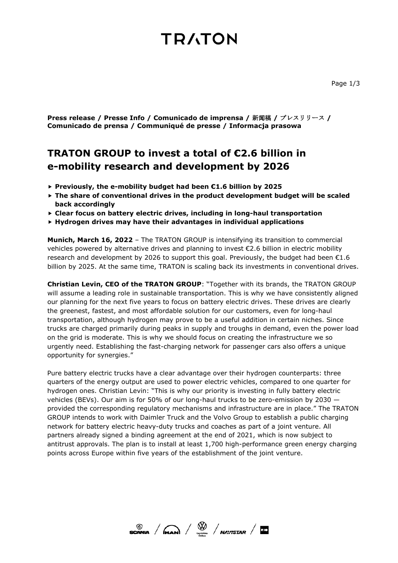# **TRATON**

**Press release / Presse Info / Comunicado de imprensa /** 新闻稿 **/** プレスリリース **/ Comunicado de prensa / Communiqué de presse / Informacja prasowa**

# **TRATON GROUP to invest a total of €2.6 billion in e-mobility research and development by 2026**

- **Previously, the e-mobility budget had been €1.6 billion by 2025**
- **The share of conventional drives in the product development budget will be scaled back accordingly**
- **Clear focus on battery electric drives, including in long-haul transportation**
- **Hydrogen drives may have their advantages in individual applications**

**Munich, March 16, 2022** – The TRATON GROUP is intensifying its transition to commercial vehicles powered by alternative drives and planning to invest €2.6 billion in electric mobility research and development by 2026 to support this goal. Previously, the budget had been  $\epsilon$ 1.6 billion by 2025. At the same time, TRATON is scaling back its investments in conventional drives.

**Christian Levin, CEO of the TRATON GROUP**: "Together with its brands, the TRATON GROUP will assume a leading role in sustainable transportation. This is why we have consistently aligned our planning for the next five years to focus on battery electric drives. These drives are clearly the greenest, fastest, and most affordable solution for our customers, even for long-haul transportation, although hydrogen may prove to be a useful addition in certain niches. Since trucks are charged primarily during peaks in supply and troughs in demand, even the power load on the grid is moderate. This is why we should focus on creating the infrastructure we so urgently need. Establishing the fast-charging network for passenger cars also offers a unique opportunity for synergies."

Pure battery electric trucks have a clear advantage over their hydrogen counterparts: three quarters of the energy output are used to power electric vehicles, compared to one quarter for hydrogen ones. Christian Levin: "This is why our priority is investing in fully battery electric vehicles (BEVs). Our aim is for 50% of our long-haul trucks to be zero-emission by 2030 provided the corresponding regulatory mechanisms and infrastructure are in place." The TRATON GROUP intends to work with Daimler Truck and the Volvo Group to establish a public charging network for battery electric heavy-duty trucks and coaches as part of a joint venture. All partners already signed a binding agreement at the end of 2021, which is now subject to antitrust approvals. The plan is to install at least 1,700 high-performance green energy charging points across Europe within five years of the establishment of the joint venture.

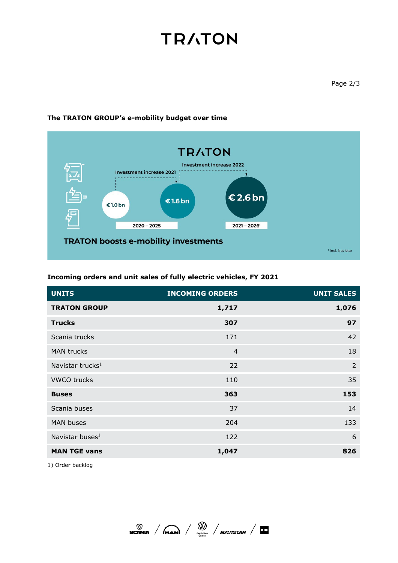# **TRATON**



## **The TRATON GROUP's e-mobility budget over time**

**Incoming orders and unit sales of fully electric vehicles, FY 2021**

| <b>UNITS</b>                 | <b>INCOMING ORDERS</b> | <b>UNIT SALES</b> |
|------------------------------|------------------------|-------------------|
| <b>TRATON GROUP</b>          | 1,717                  | 1,076             |
| <b>Trucks</b>                | 307                    | 97                |
| Scania trucks                | 171                    | 42                |
| <b>MAN trucks</b>            | $\overline{4}$         | 18                |
| Navistar trucks <sup>1</sup> | 22                     | $\overline{2}$    |
| <b>VWCO trucks</b>           | 110                    | 35                |
| <b>Buses</b>                 | 363                    | 153               |
| Scania buses                 | 37                     | 14                |
| <b>MAN buses</b>             | 204                    | 133               |
| Navistar buses <sup>1</sup>  | 122                    | 6                 |
| <b>MAN TGE vans</b>          | 1,047                  | 826               |

1) Order backlog